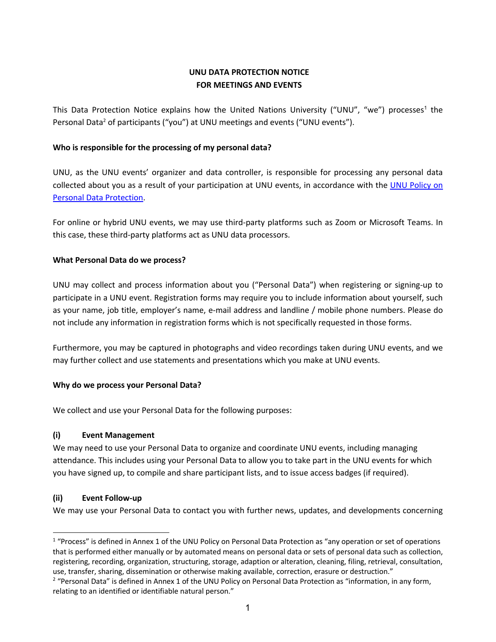# **UNU DATA PROTECTION NOTICE FOR MEETINGS AND EVENTS**

This Data Protection Notice explains how the United Nations University ("UNU", "we") processes<sup>1</sup> the Personal Data<sup>2</sup> of participants ("you") at UNU meetings and events ("UNU events").

# **Who is responsible for the processing of my personal data?**

UNU, as the UNU events' organizer and data controller, is responsible for processing any personal data collected about you as a result of your participation at UNU events, in accordance with the UNU Policy on Personal Data Protection.

For online or hybrid UNU events, we may use third-party platforms such as Zoom or Microsoft Teams. In this case, these third-party platforms act as UNU data processors.

# **What Personal Data do we process?**

UNU may collect and process information about you ("Personal Data") when registering or signing-up to participate in a UNU event. Registration forms may require you to include information about yourself, such as your name, job title, employer's name, e-mail address and landline / mobile phone numbers. Please do not include any information in registration forms which is not specifically requested in those forms.

Furthermore, you may be captured in photographs and video recordings taken during UNU events, and we may further collect and use statements and presentations which you make at UNU events.

# **Why do we process your Personal Data?**

We collect and use your Personal Data for the following purposes:

# **(i) Event Management**

We may need to use your Personal Data to organize and coordinate UNU events, including managing attendance. This includes using your Personal Data to allow you to take part in the UNU events for which you have signed up, to compile and share participant lists, and to issue access badges (if required).

# **(ii) Event Follow-up**

We may use your Personal Data to contact you with further news, updates, and developments concerning

 $1$  "Process" is defined in Annex 1 of the UNU Policy on Personal Data Protection as "any operation or set of operations that is performed either manually or by automated means on personal data or sets of personal data such as collection, registering, recording, organization, structuring, storage, adaption or alteration, cleaning, filing, retrieval, consultation, use, transfer, sharing, dissemination or otherwise making available, correction, erasure or destruction."

<sup>&</sup>lt;sup>2</sup> "Personal Data" is defined in Annex 1 of the UNU Policy on Personal Data Protection as "information, in any form, relating to an identified or identifiable natural person."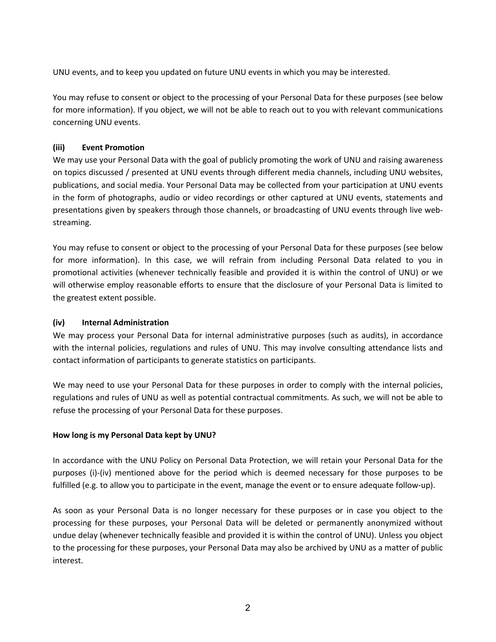UNU events, and to keep you updated on future UNU events in which you may be interested.

You may refuse to consent or object to the processing of your Personal Data for these purposes (see below for more information). If you object, we will not be able to reach out to you with relevant communications concerning UNU events.

## **(iii) Event Promotion**

We may use your Personal Data with the goal of publicly promoting the work of UNU and raising awareness on topics discussed / presented at UNU events through different media channels, including UNU websites, publications, and social media. Your Personal Data may be collected from your participation at UNU events in the form of photographs, audio or video recordings or other captured at UNU events, statements and presentations given by speakers through those channels, or broadcasting of UNU events through live webstreaming.

You may refuse to consent or object to the processing of your Personal Data for these purposes (see below for more information). In this case, we will refrain from including Personal Data related to you in promotional activities (whenever technically feasible and provided it is within the control of UNU) or we will otherwise employ reasonable efforts to ensure that the disclosure of your Personal Data is limited to the greatest extent possible.

## **(iv) Internal Administration**

We may process your Personal Data for internal administrative purposes (such as audits), in accordance with the internal policies, regulations and rules of UNU. This may involve consulting attendance lists and contact information of participants to generate statistics on participants.

We may need to use your Personal Data for these purposes in order to comply with the internal policies, regulations and rules of UNU as well as potential contractual commitments. As such, we will not be able to refuse the processing of your Personal Data for these purposes.

## **How long is my Personal Data kept by UNU?**

In accordance with the UNU Policy on Personal Data Protection, we will retain your Personal Data for the purposes (i)-(iv) mentioned above for the period which is deemed necessary for those purposes to be fulfilled (e.g. to allow you to participate in the event, manage the event or to ensure adequate follow-up).

As soon as your Personal Data is no longer necessary for these purposes or in case you object to the processing for these purposes, your Personal Data will be deleted or permanently anonymized without undue delay (whenever technically feasible and provided it is within the control of UNU). Unless you object to the processing for these purposes, your Personal Data may also be archived by UNU as a matter of public interest.